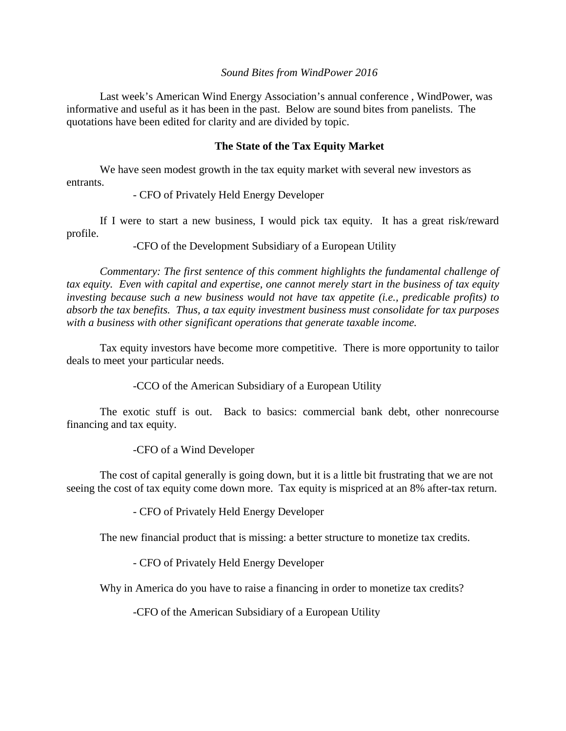## *Sound Bites from WindPower 2016*

Last week's American Wind Energy Association's annual conference , WindPower, was informative and useful as it has been in the past. Below are sound bites from panelists. The quotations have been edited for clarity and are divided by topic.

#### **The State of the Tax Equity Market**

We have seen modest growth in the tax equity market with several new investors as entrants.

- CFO of Privately Held Energy Developer

If I were to start a new business, I would pick tax equity. It has a great risk/reward profile.

-CFO of the Development Subsidiary of a European Utility

*Commentary: The first sentence of this comment highlights the fundamental challenge of tax equity. Even with capital and expertise, one cannot merely start in the business of tax equity investing because such a new business would not have tax appetite (i.e., predicable profits) to absorb the tax benefits. Thus, a tax equity investment business must consolidate for tax purposes with a business with other significant operations that generate taxable income.*

Tax equity investors have become more competitive. There is more opportunity to tailor deals to meet your particular needs.

-CCO of the American Subsidiary of a European Utility

The exotic stuff is out. Back to basics: commercial bank debt, other nonrecourse financing and tax equity.

-CFO of a Wind Developer

The cost of capital generally is going down, but it is a little bit frustrating that we are not seeing the cost of tax equity come down more. Tax equity is mispriced at an 8% after-tax return.

- CFO of Privately Held Energy Developer

The new financial product that is missing: a better structure to monetize tax credits.

- CFO of Privately Held Energy Developer

Why in America do you have to raise a financing in order to monetize tax credits?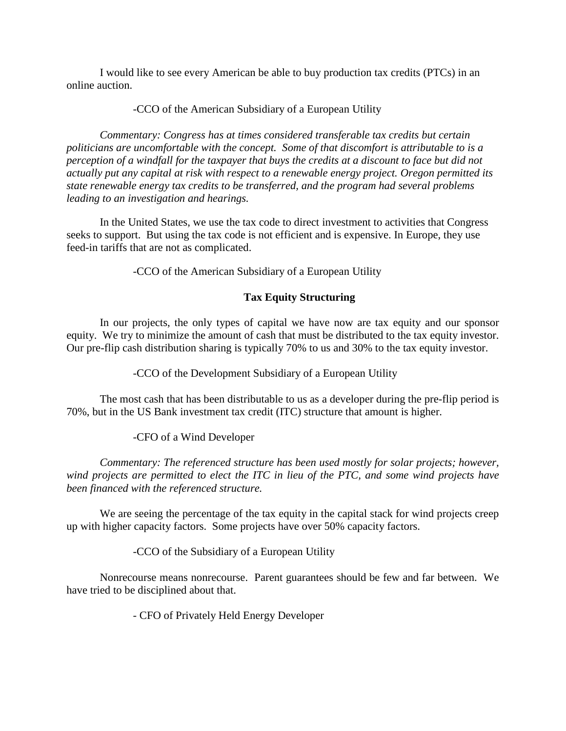I would like to see every American be able to buy production tax credits (PTCs) in an online auction.

-CCO of the American Subsidiary of a European Utility

*Commentary: Congress has at times considered transferable tax credits but certain politicians are uncomfortable with the concept. Some of that discomfort is attributable to is a perception of a windfall for the taxpayer that buys the credits at a discount to face but did not actually put any capital at risk with respect to a renewable energy project. Oregon permitted its state renewable energy tax credits to be transferred, and the program had several problems leading to an investigation and hearings.*

In the United States, we use the tax code to direct investment to activities that Congress seeks to support. But using the tax code is not efficient and is expensive. In Europe, they use feed-in tariffs that are not as complicated.

-CCO of the American Subsidiary of a European Utility

# **Tax Equity Structuring**

In our projects, the only types of capital we have now are tax equity and our sponsor equity. We try to minimize the amount of cash that must be distributed to the tax equity investor. Our pre-flip cash distribution sharing is typically 70% to us and 30% to the tax equity investor.

-CCO of the Development Subsidiary of a European Utility

The most cash that has been distributable to us as a developer during the pre-flip period is 70%, but in the US Bank investment tax credit (ITC) structure that amount is higher.

# -CFO of a Wind Developer

*Commentary: The referenced structure has been used mostly for solar projects; however, wind projects are permitted to elect the ITC in lieu of the PTC, and some wind projects have been financed with the referenced structure.*

We are seeing the percentage of the tax equity in the capital stack for wind projects creep up with higher capacity factors. Some projects have over 50% capacity factors.

-CCO of the Subsidiary of a European Utility

Nonrecourse means nonrecourse. Parent guarantees should be few and far between. We have tried to be disciplined about that.

- CFO of Privately Held Energy Developer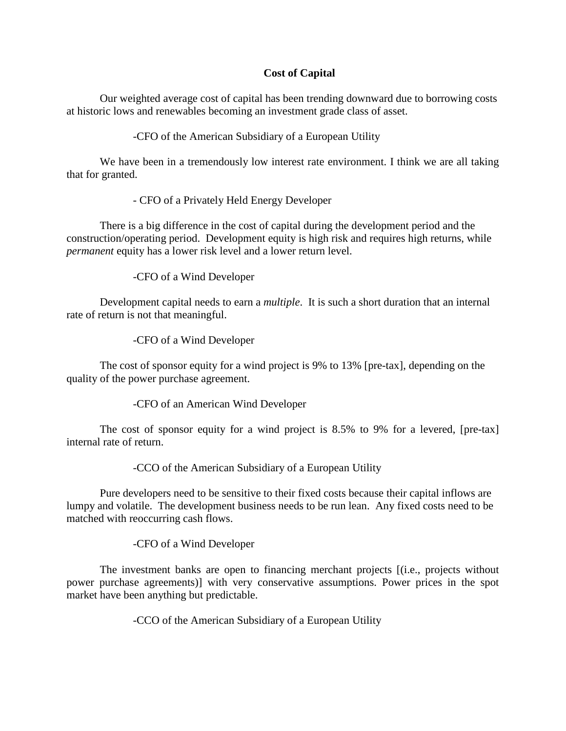## **Cost of Capital**

Our weighted average cost of capital has been trending downward due to borrowing costs at historic lows and renewables becoming an investment grade class of asset.

-CFO of the American Subsidiary of a European Utility

We have been in a tremendously low interest rate environment. I think we are all taking that for granted.

- CFO of a Privately Held Energy Developer

There is a big difference in the cost of capital during the development period and the construction/operating period. Development equity is high risk and requires high returns, while *permanent* equity has a lower risk level and a lower return level.

-CFO of a Wind Developer

Development capital needs to earn a *multiple*. It is such a short duration that an internal rate of return is not that meaningful.

-CFO of a Wind Developer

The cost of sponsor equity for a wind project is 9% to 13% [pre-tax], depending on the quality of the power purchase agreement.

-CFO of an American Wind Developer

The cost of sponsor equity for a wind project is 8.5% to 9% for a levered, [pre-tax] internal rate of return.

-CCO of the American Subsidiary of a European Utility

Pure developers need to be sensitive to their fixed costs because their capital inflows are lumpy and volatile. The development business needs to be run lean. Any fixed costs need to be matched with reoccurring cash flows.

-CFO of a Wind Developer

The investment banks are open to financing merchant projects [(i.e., projects without power purchase agreements)] with very conservative assumptions. Power prices in the spot market have been anything but predictable.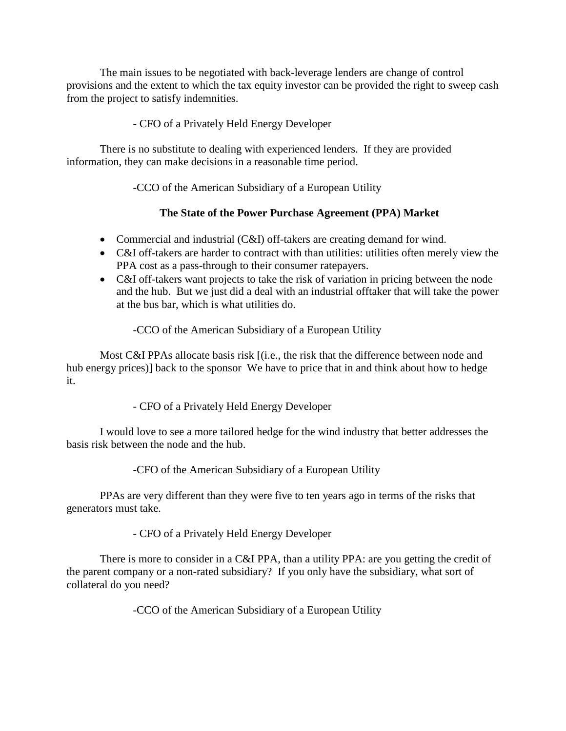The main issues to be negotiated with back-leverage lenders are change of control provisions and the extent to which the tax equity investor can be provided the right to sweep cash from the project to satisfy indemnities.

# - CFO of a Privately Held Energy Developer

There is no substitute to dealing with experienced lenders. If they are provided information, they can make decisions in a reasonable time period.

-CCO of the American Subsidiary of a European Utility

# **The State of the Power Purchase Agreement (PPA) Market**

- Commercial and industrial (C&I) off-takers are creating demand for wind.
- C&I off-takers are harder to contract with than utilities: utilities often merely view the PPA cost as a pass-through to their consumer ratepayers.
- C&I off-takers want projects to take the risk of variation in pricing between the node and the hub. But we just did a deal with an industrial offtaker that will take the power at the bus bar, which is what utilities do.

# -CCO of the American Subsidiary of a European Utility

Most C&I PPAs allocate basis risk [(i.e., the risk that the difference between node and hub energy prices)] back to the sponsor We have to price that in and think about how to hedge it.

# - CFO of a Privately Held Energy Developer

I would love to see a more tailored hedge for the wind industry that better addresses the basis risk between the node and the hub.

-CFO of the American Subsidiary of a European Utility

PPAs are very different than they were five to ten years ago in terms of the risks that generators must take.

- CFO of a Privately Held Energy Developer

There is more to consider in a C&I PPA, than a utility PPA: are you getting the credit of the parent company or a non-rated subsidiary? If you only have the subsidiary, what sort of collateral do you need?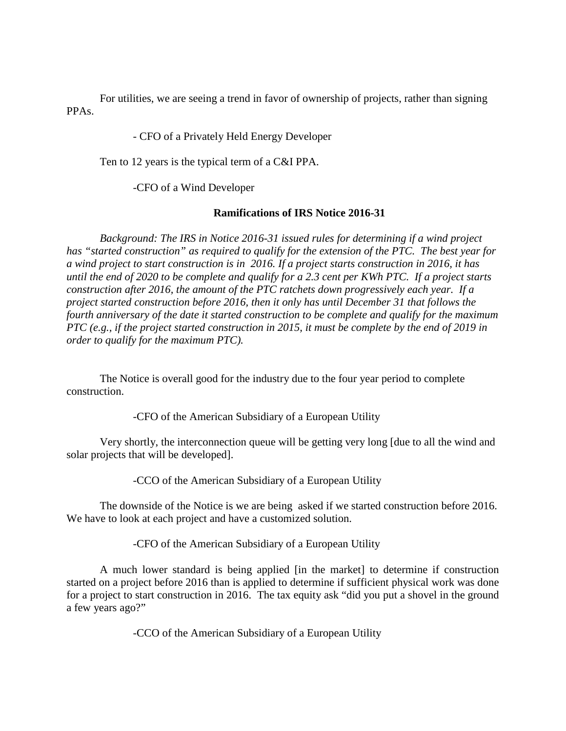For utilities, we are seeing a trend in favor of ownership of projects, rather than signing PPAs.

- CFO of a Privately Held Energy Developer

Ten to 12 years is the typical term of a C&I PPA.

-CFO of a Wind Developer

#### **Ramifications of IRS Notice 2016-31**

*Background: The IRS in Notice 2016-31 issued rules for determining if a wind project has "started construction" as required to qualify for the extension of the PTC. The best year for a wind project to start construction is in 2016. If a project starts construction in 2016, it has until the end of 2020 to be complete and qualify for a 2.3 cent per KWh PTC. If a project starts construction after 2016, the amount of the PTC ratchets down progressively each year. If a project started construction before 2016, then it only has until December 31 that follows the fourth anniversary of the date it started construction to be complete and qualify for the maximum PTC (e.g., if the project started construction in 2015, it must be complete by the end of 2019 in order to qualify for the maximum PTC).*

The Notice is overall good for the industry due to the four year period to complete construction.

-CFO of the American Subsidiary of a European Utility

Very shortly, the interconnection queue will be getting very long [due to all the wind and solar projects that will be developed].

-CCO of the American Subsidiary of a European Utility

The downside of the Notice is we are being asked if we started construction before 2016. We have to look at each project and have a customized solution.

-CFO of the American Subsidiary of a European Utility

A much lower standard is being applied [in the market] to determine if construction started on a project before 2016 than is applied to determine if sufficient physical work was done for a project to start construction in 2016. The tax equity ask "did you put a shovel in the ground a few years ago?"